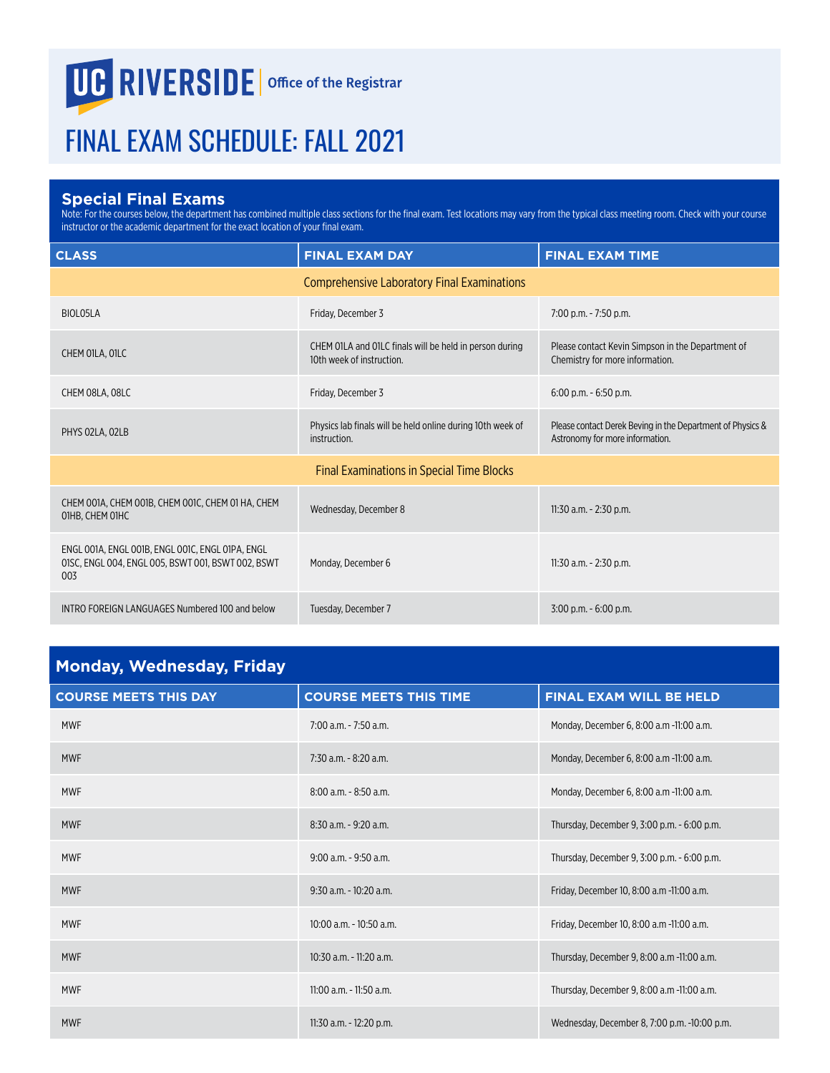## **UG RIVERSIDE** Office of the Registrar

## FINAL EXAM SCHEDULE: FALL 2021

## **Special Final Exams**

Note: For the courses below, the department has combined multiple class sections for the final exam. Test locations may vary from the typical class meeting room. Check with your course instructor or the academic department for the exact location of your final exam.

| <b>CLASS</b>                                                                                                  | <b>FINAL EXAM DAY</b>                                                                | <b>FINAL EXAM TIME</b>                                                                        |
|---------------------------------------------------------------------------------------------------------------|--------------------------------------------------------------------------------------|-----------------------------------------------------------------------------------------------|
|                                                                                                               | <b>Comprehensive Laboratory Final Examinations</b>                                   |                                                                                               |
| BIOLO5LA                                                                                                      | Friday, December 3                                                                   | 7:00 p.m. - 7:50 p.m.                                                                         |
| CHEM OILA, OILC                                                                                               | CHEM OILA and OILC finals will be held in person during<br>10th week of instruction. | Please contact Kevin Simpson in the Department of<br>Chemistry for more information.          |
| CHEM 08LA, 08LC                                                                                               | Friday, December 3                                                                   | $6:00$ p.m. $-6:50$ p.m.                                                                      |
| PHYS 02LA, 02LB                                                                                               | Physics lab finals will be held online during 10th week of<br>instruction.           | Please contact Derek Beving in the Department of Physics &<br>Astronomy for more information. |
|                                                                                                               | <b>Final Examinations in Special Time Blocks</b>                                     |                                                                                               |
| CHEM 001A, CHEM 001B, CHEM 001C, CHEM 01 HA, CHEM<br>01HB, CHEM 01HC                                          | Wednesday, December 8                                                                | 11:30 a.m. - 2:30 p.m.                                                                        |
| ENGL 001A, ENGL 001B, ENGL 001C, ENGL 01PA, ENGL<br>01SC, ENGL 004, ENGL 005, BSWT 001, BSWT 002, BSWT<br>003 | Monday, December 6                                                                   | 11:30 a.m. - 2:30 p.m.                                                                        |
| INTRO FOREIGN LANGUAGES Numbered 100 and below                                                                | Tuesday, December 7                                                                  | 3:00 p.m. - 6:00 p.m.                                                                         |

| <b>Monday, Wednesday, Friday</b> |                               |                                              |
|----------------------------------|-------------------------------|----------------------------------------------|
| <b>COURSE MEETS THIS DAY</b>     | <b>COURSE MEETS THIS TIME</b> | FINAL EXAM WILL BE HELD                      |
| <b>MWF</b>                       | $7:00$ a.m. $-7:50$ a.m.      | Monday, December 6, 8:00 a.m -11:00 a.m.     |
| <b>MWF</b>                       | $7:30$ a.m. $-8:20$ a.m.      | Monday, December 6, 8:00 a.m -11:00 a.m.     |
| <b>MWF</b>                       | $8:00$ a.m. $-8:50$ a.m.      | Monday, December 6, 8:00 a.m -11:00 a.m.     |
| <b>MWF</b>                       | $8:30$ a.m. - 9:20 a.m.       | Thursday, December 9, 3:00 p.m. - 6:00 p.m.  |
| <b>MWF</b>                       | $9:00$ a.m. $-9:50$ a.m.      | Thursday, December 9, 3:00 p.m. - 6:00 p.m.  |
| <b>MWF</b>                       | $9:30$ a.m. - $10:20$ a.m.    | Friday, December 10, 8:00 a.m -11:00 a.m.    |
| <b>MWF</b>                       | $10:00$ a.m. - $10:50$ a.m.   | Friday, December 10, 8:00 a.m -11:00 a.m.    |
| <b>MWF</b>                       | $10:30$ a.m. - 11:20 a.m.     | Thursday, December 9, 8:00 a.m -11:00 a.m.   |
| <b>MWF</b>                       | 11:00 a.m. - 11:50 a.m.       | Thursday, December 9, 8:00 a.m -11:00 a.m.   |
| <b>MWF</b>                       | 11:30 a.m. - 12:20 p.m.       | Wednesday, December 8, 7:00 p.m. -10:00 p.m. |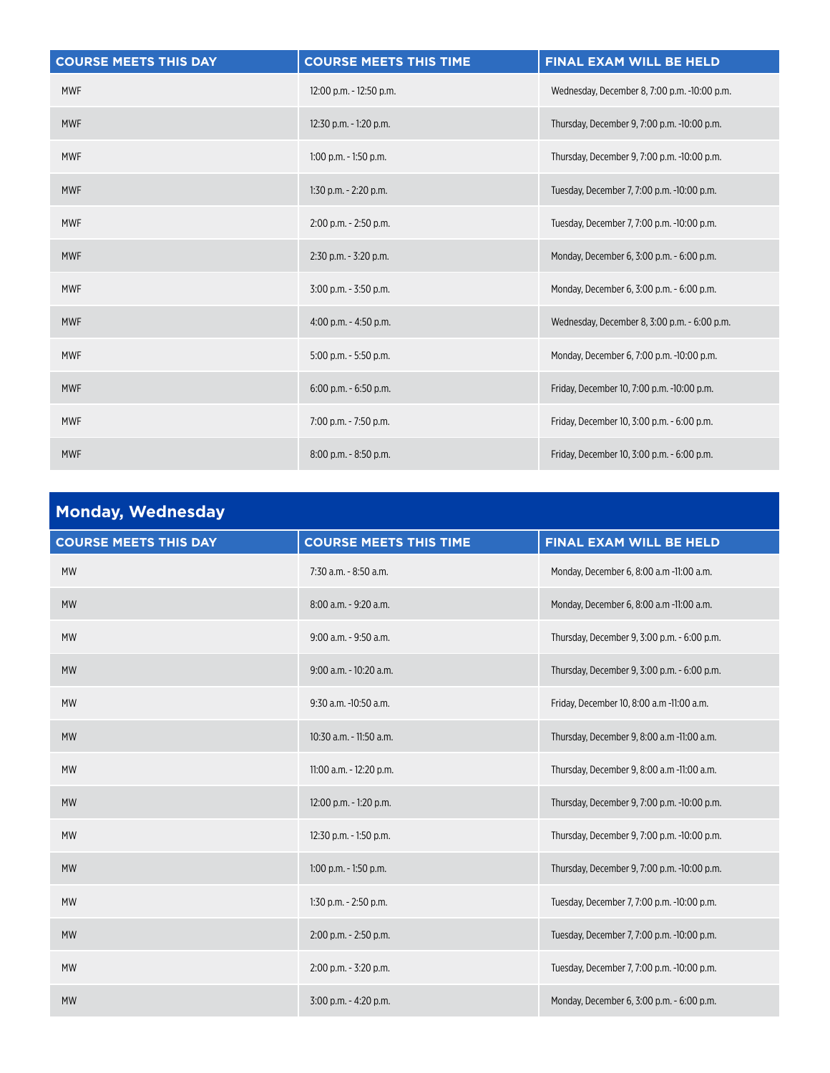| <b>COURSE MEETS THIS DAY</b> | <b>COURSE MEETS THIS TIME</b> | FINAL EXAM WILL BE HELD                      |
|------------------------------|-------------------------------|----------------------------------------------|
| <b>MWF</b>                   | 12:00 p.m. - 12:50 p.m.       | Wednesday, December 8, 7:00 p.m. -10:00 p.m. |
| <b>MWF</b>                   | 12:30 p.m. - 1:20 p.m.        | Thursday, December 9, 7:00 p.m. -10:00 p.m.  |
| <b>MWF</b>                   | $1:00$ p.m. $-1:50$ p.m.      | Thursday, December 9, 7:00 p.m. -10:00 p.m.  |
| <b>MWF</b>                   | $1:30$ p.m. $-2:20$ p.m.      | Tuesday, December 7, 7:00 p.m. -10:00 p.m.   |
| <b>MWF</b>                   | $2:00$ p.m. $- 2:50$ p.m.     | Tuesday, December 7, 7:00 p.m. -10:00 p.m.   |
| <b>MWF</b>                   | $2:30$ p.m. - $3:20$ p.m.     | Monday, December 6, 3:00 p.m. - 6:00 p.m.    |
| <b>MWF</b>                   | $3:00$ p.m. $-3:50$ p.m.      | Monday, December 6, 3:00 p.m. - 6:00 p.m.    |
| <b>MWF</b>                   | $4:00$ p.m. $-4:50$ p.m.      | Wednesday, December 8, 3:00 p.m. - 6:00 p.m. |
| <b>MWF</b>                   | $5:00$ p.m. $-5:50$ p.m.      | Monday, December 6, 7:00 p.m. -10:00 p.m.    |
| <b>MWF</b>                   | $6:00$ p.m. $-6:50$ p.m.      | Friday, December 10, 7:00 p.m. -10:00 p.m.   |
| <b>MWF</b>                   | 7:00 p.m. - 7:50 p.m.         | Friday, December 10, 3:00 p.m. - 6:00 p.m.   |
| <b>MWF</b>                   | $8:00$ p.m. $-8:50$ p.m.      | Friday, December 10, 3:00 p.m. - 6:00 p.m.   |

| <b>Monday, Wednesday</b>     |                               |                                             |
|------------------------------|-------------------------------|---------------------------------------------|
| <b>COURSE MEETS THIS DAY</b> | <b>COURSE MEETS THIS TIME</b> | <b>FINAL EXAM WILL BE HELD</b>              |
| <b>MW</b>                    | 7:30 a.m. - 8:50 a.m.         | Monday, December 6, 8:00 a.m -11:00 a.m.    |
| <b>MW</b>                    | 8:00 a.m. - 9:20 a.m.         | Monday, December 6, 8:00 a.m -11:00 a.m.    |
| <b>MW</b>                    | 9:00 a.m. - 9:50 a.m.         | Thursday, December 9, 3:00 p.m. - 6:00 p.m. |
| <b>MW</b>                    | 9:00 a.m. - 10:20 a.m.        | Thursday, December 9, 3:00 p.m. - 6:00 p.m. |
| <b>MW</b>                    | 9:30 a.m. -10:50 a.m.         | Friday, December 10, 8:00 a.m -11:00 a.m.   |
| <b>MW</b>                    | 10:30 a.m. - 11:50 a.m.       | Thursday, December 9, 8:00 a.m -11:00 a.m.  |
| <b>MW</b>                    | 11:00 a.m. - 12:20 p.m.       | Thursday, December 9, 8:00 a.m -11:00 a.m.  |
| <b>MW</b>                    | 12:00 p.m. - 1:20 p.m.        | Thursday, December 9, 7:00 p.m. -10:00 p.m. |
| <b>MW</b>                    | 12:30 p.m. - 1:50 p.m.        | Thursday, December 9, 7:00 p.m. -10:00 p.m. |
| <b>MW</b>                    | $1:00$ p.m. - $1:50$ p.m.     | Thursday, December 9, 7:00 p.m. -10:00 p.m. |
| <b>MW</b>                    | 1:30 p.m. - 2:50 p.m.         | Tuesday, December 7, 7:00 p.m. -10:00 p.m.  |
| <b>MW</b>                    | 2:00 p.m. - 2:50 p.m.         | Tuesday, December 7, 7:00 p.m. -10:00 p.m.  |
| <b>MW</b>                    | 2:00 p.m. - 3:20 p.m.         | Tuesday, December 7, 7:00 p.m. -10:00 p.m.  |
| <b>MW</b>                    | 3:00 p.m. - 4:20 p.m.         | Monday, December 6, 3:00 p.m. - 6:00 p.m.   |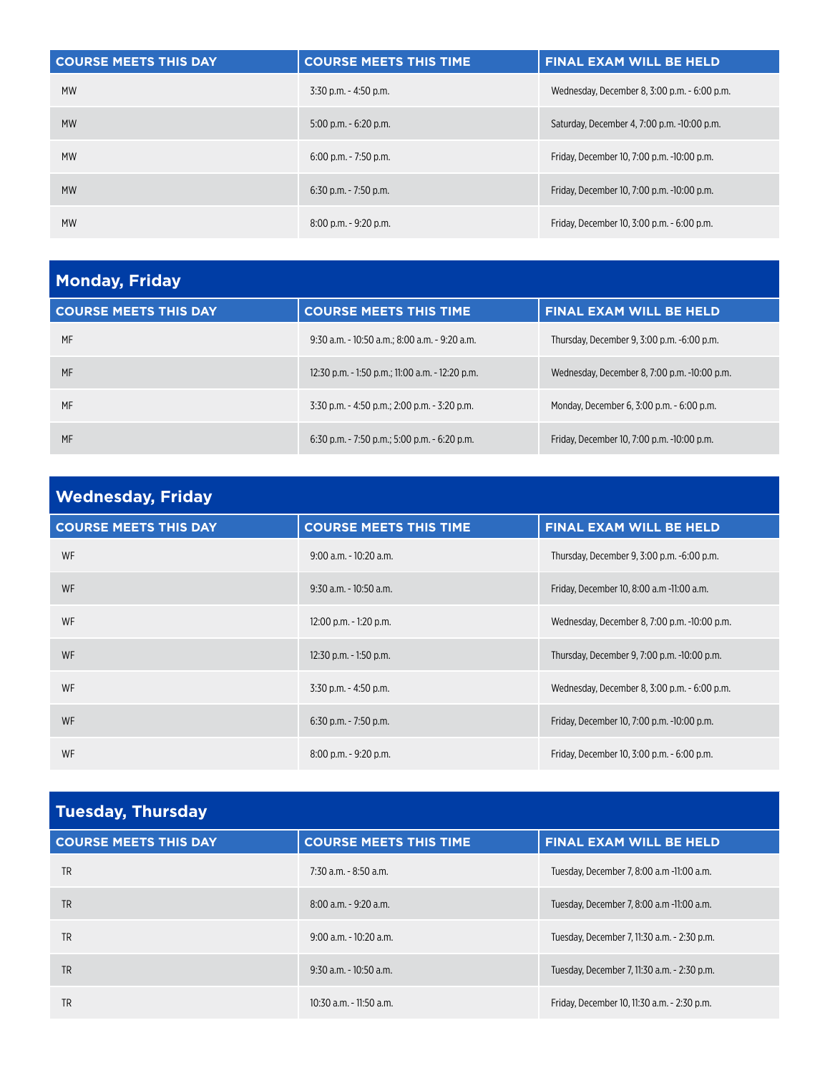| <b>COURSE MEETS THIS DAY</b> | <b>COURSE MEETS THIS TIME</b> | <b>FINAL EXAM WILL BE HELD</b>               |
|------------------------------|-------------------------------|----------------------------------------------|
| <b>MW</b>                    | $3:30$ p.m. $-4:50$ p.m.      | Wednesday, December 8, 3:00 p.m. - 6:00 p.m. |
| <b>MW</b>                    | $5:00$ p.m. $-6:20$ p.m.      | Saturday, December 4, 7:00 p.m. -10:00 p.m.  |
| <b>MW</b>                    | $6:00$ p.m. - 7:50 p.m.       | Friday, December 10, 7:00 p.m. -10:00 p.m.   |
| <b>MW</b>                    | $6:30$ p.m. - 7:50 p.m.       | Friday, December 10, 7:00 p.m. -10:00 p.m.   |
| <b>MW</b>                    | $8:00$ p.m. $-9:20$ p.m.      | Friday, December 10, 3:00 p.m. - 6:00 p.m.   |

| <b>Monday, Friday</b>        |                                                  |                                              |
|------------------------------|--------------------------------------------------|----------------------------------------------|
| <b>COURSE MEETS THIS DAY</b> | <b>COURSE MEETS THIS TIME</b>                    | <b>FINAL EXAM WILL BE HELD</b>               |
| MF                           | 9:30 a.m. - 10:50 a.m.; 8:00 a.m. - 9:20 a.m.    | Thursday, December 9, 3:00 p.m. -6:00 p.m.   |
| MF                           | 12:30 p.m. - 1:50 p.m.; 11:00 a.m. - 12:20 p.m.  | Wednesday, December 8, 7:00 p.m. -10:00 p.m. |
| MF                           | $3:30$ p.m. $-4:50$ p.m.; 2:00 p.m. $-3:20$ p.m. | Monday, December 6, 3:00 p.m. - 6:00 p.m.    |
| MF                           | $6:30$ p.m. $-7:50$ p.m.; 5:00 p.m. $-6:20$ p.m. | Friday, December 10, 7:00 p.m. -10:00 p.m.   |

| <b>Wednesday, Friday</b>     |                               |                                              |
|------------------------------|-------------------------------|----------------------------------------------|
| <b>COURSE MEETS THIS DAY</b> | <b>COURSE MEETS THIS TIME</b> | <b>FINAL EXAM WILL BE HELD</b>               |
| WF                           | $9:00$ a.m. - 10:20 a.m.      | Thursday, December 9, 3:00 p.m. -6:00 p.m.   |
| <b>WF</b>                    | $9:30$ a.m. - 10:50 a.m.      | Friday, December 10, 8:00 a.m -11:00 a.m.    |
| WF                           | 12:00 p.m. - 1:20 p.m.        | Wednesday, December 8, 7:00 p.m. -10:00 p.m. |
| <b>WF</b>                    | $12:30$ p.m. - 1:50 p.m.      | Thursday, December 9, 7:00 p.m. -10:00 p.m.  |
| WF                           | $3:30$ p.m. $-4:50$ p.m.      | Wednesday, December 8, 3:00 p.m. - 6:00 p.m. |
| <b>WF</b>                    | $6:30$ p.m. - 7:50 p.m.       | Friday, December 10, 7:00 p.m. -10:00 p.m.   |
| WF                           | $8:00$ p.m. $-9:20$ p.m.      | Friday, December 10, 3:00 p.m. - 6:00 p.m.   |

| <b>Tuesday, Thursday</b>     |                               |                                             |
|------------------------------|-------------------------------|---------------------------------------------|
| <b>COURSE MEETS THIS DAY</b> | <b>COURSE MEETS THIS TIME</b> | <b>FINAL EXAM WILL BE HELD</b>              |
| <b>TR</b>                    | 7:30 a.m. - 8:50 a.m.         | Tuesday, December 7, 8:00 a.m -11:00 a.m.   |
| <b>TR</b>                    | $8:00$ a.m. $-9:20$ a.m.      | Tuesday, December 7, 8:00 a.m -11:00 a.m.   |
| <b>TR</b>                    | $9:00$ a.m. $-10:20$ a.m.     | Tuesday, December 7, 11:30 a.m. - 2:30 p.m. |
| <b>TR</b>                    | $9:30$ a.m. - 10:50 a.m.      | Tuesday, December 7, 11:30 a.m. - 2:30 p.m. |
| TR                           | $10:30$ a.m. - 11:50 a.m.     | Friday, December 10, 11:30 a.m. - 2:30 p.m. |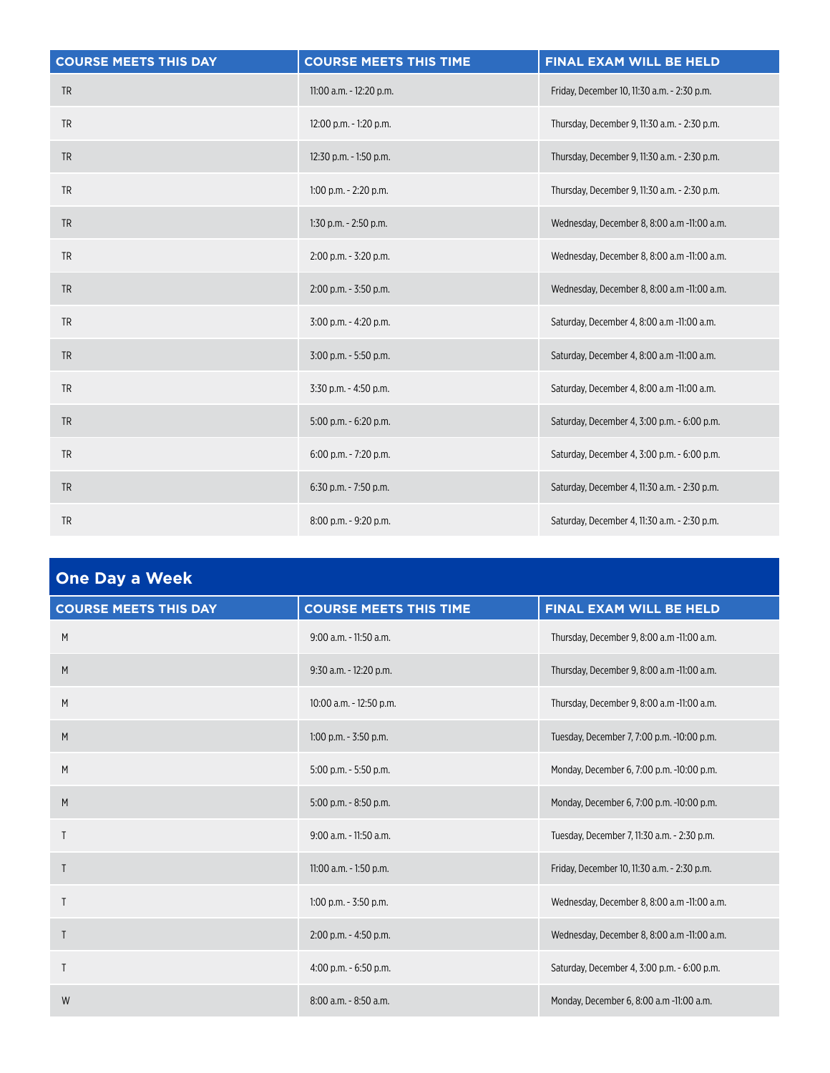| <b>COURSE MEETS THIS DAY</b> | <b>COURSE MEETS THIS TIME</b> | FINAL EXAM WILL BE HELD                      |
|------------------------------|-------------------------------|----------------------------------------------|
| <b>TR</b>                    | 11:00 a.m. - 12:20 p.m.       | Friday, December 10, 11:30 a.m. - 2:30 p.m.  |
| <b>TR</b>                    | 12:00 p.m. - 1:20 p.m.        | Thursday, December 9, 11:30 a.m. - 2:30 p.m. |
| <b>TR</b>                    | 12:30 p.m. - 1:50 p.m.        | Thursday, December 9, 11:30 a.m. - 2:30 p.m. |
| <b>TR</b>                    | $1:00$ p.m. $-2:20$ p.m.      | Thursday, December 9, 11:30 a.m. - 2:30 p.m. |
| <b>TR</b>                    | 1:30 p.m. - 2:50 p.m.         | Wednesday, December 8, 8:00 a.m -11:00 a.m.  |
| <b>TR</b>                    | 2:00 p.m. - 3:20 p.m.         | Wednesday, December 8, 8:00 a.m -11:00 a.m.  |
| <b>TR</b>                    | 2:00 p.m. - 3:50 p.m.         | Wednesday, December 8, 8:00 a.m -11:00 a.m.  |
| <b>TR</b>                    | 3:00 p.m. - 4:20 p.m.         | Saturday, December 4, 8:00 a.m -11:00 a.m.   |
| <b>TR</b>                    | 3:00 p.m. - 5:50 p.m.         | Saturday, December 4, 8:00 a.m -11:00 a.m.   |
| <b>TR</b>                    | 3:30 p.m. - 4:50 p.m.         | Saturday, December 4, 8:00 a.m -11:00 a.m.   |
| <b>TR</b>                    | $5:00$ p.m. $-6:20$ p.m.      | Saturday, December 4, 3:00 p.m. - 6:00 p.m.  |
| <b>TR</b>                    | 6:00 p.m. - 7:20 p.m.         | Saturday, December 4, 3:00 p.m. - 6:00 p.m.  |
| <b>TR</b>                    | 6:30 p.m. - 7:50 p.m.         | Saturday, December 4, 11:30 a.m. - 2:30 p.m. |
| <b>TR</b>                    | 8:00 p.m. - 9:20 p.m.         | Saturday, December 4, 11:30 a.m. - 2:30 p.m. |

| <b>One Day a Week</b>        |                               |                                             |
|------------------------------|-------------------------------|---------------------------------------------|
| <b>COURSE MEETS THIS DAY</b> | <b>COURSE MEETS THIS TIME</b> | FINAL EXAM WILL BE HELD                     |
| M                            | 9:00 a.m. - 11:50 a.m.        | Thursday, December 9, 8:00 a.m -11:00 a.m.  |
| M                            | 9:30 a.m. - 12:20 p.m.        | Thursday, December 9, 8:00 a.m -11:00 a.m.  |
| M                            | 10:00 a.m. - 12:50 p.m.       | Thursday, December 9, 8:00 a.m -11:00 a.m.  |
| M                            | $1:00$ p.m. - $3:50$ p.m.     | Tuesday, December 7, 7:00 p.m. -10:00 p.m.  |
| M                            | 5:00 p.m. - 5:50 p.m.         | Monday, December 6, 7:00 p.m. -10:00 p.m.   |
| M                            | 5:00 p.m. - 8:50 p.m.         | Monday, December 6, 7:00 p.m. -10:00 p.m.   |
| $\mathsf{T}$                 | 9:00 a.m. - 11:50 a.m.        | Tuesday, December 7, 11:30 a.m. - 2:30 p.m. |
| $\mathsf{T}$                 | 11:00 a.m. - 1:50 p.m.        | Friday, December 10, 11:30 a.m. - 2:30 p.m. |
| T                            | $1:00$ p.m. - $3:50$ p.m.     | Wednesday, December 8, 8:00 a.m -11:00 a.m. |
| T                            | 2:00 p.m. - 4:50 p.m.         | Wednesday, December 8, 8:00 a.m -11:00 a.m. |
| $\mathsf{T}$                 | $4:00$ p.m. $-6:50$ p.m.      | Saturday, December 4, 3:00 p.m. - 6:00 p.m. |
| W                            | 8:00 a.m. - 8:50 a.m.         | Monday, December 6, 8:00 a.m -11:00 a.m.    |